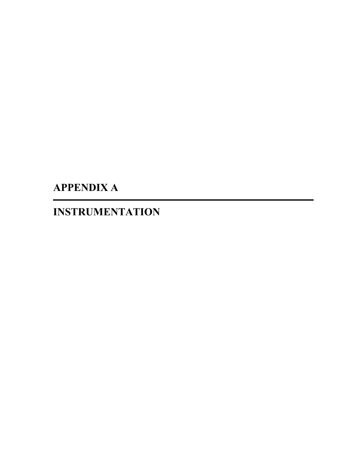**APPENDIX A** 

**INSTRUMENTATION**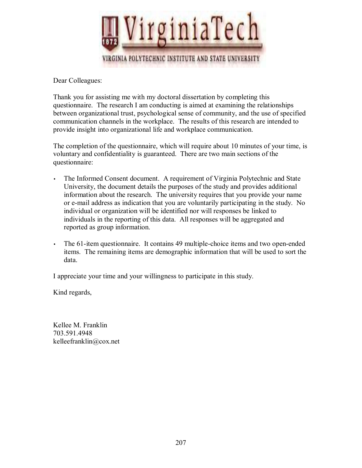

Dear Colleagues:

Thank you for assisting me with my doctoral dissertation by completing this questionnaire. The research I am conducting is aimed at examining the relationships between organizational trust, psychological sense of community, and the use of specified communication channels in the workplace. The results of this research are intended to provide insight into organizational life and workplace communication.

The completion of the questionnaire, which will require about 10 minutes of your time, is voluntary and confidentiality is guaranteed. There are two main sections of the questionnaire:

- The Informed Consent document. A requirement of Virginia Polytechnic and State University, the document details the purposes of the study and provides additional information about the research. The university requires that you provide your name or e-mail address as indication that you are voluntarily participating in the study. No individual or organization will be identified nor will responses be linked to individuals in the reporting of this data. All responses will be aggregated and reported as group information.
- The 61-item questionnaire. It contains 49 multiple-choice items and two open-ended items. The remaining items are demographic information that will be used to sort the data.

I appreciate your time and your willingness to participate in this study.

Kind regards,

Kellee M. Franklin 703.591.4948 kelleefranklin@cox.net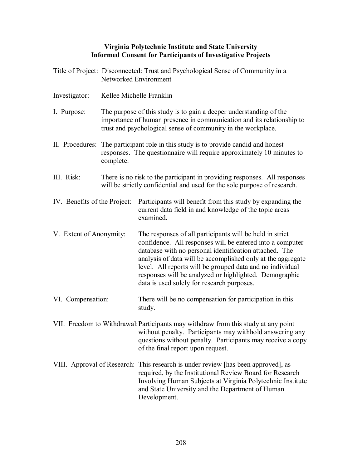## **Virginia Polytechnic Institute and State University Informed Consent for Participants of Investigative Projects**

|                              | Title of Project: Disconnected: Trust and Psychological Sense of Community in a<br>Networked Environment                                                                                                    |                                                                                                                                                                                                                                                                                                                                                                                                                     |  |  |  |  |
|------------------------------|-------------------------------------------------------------------------------------------------------------------------------------------------------------------------------------------------------------|---------------------------------------------------------------------------------------------------------------------------------------------------------------------------------------------------------------------------------------------------------------------------------------------------------------------------------------------------------------------------------------------------------------------|--|--|--|--|
| Investigator:                | Kellee Michelle Franklin                                                                                                                                                                                    |                                                                                                                                                                                                                                                                                                                                                                                                                     |  |  |  |  |
| I. Purpose:                  | The purpose of this study is to gain a deeper understanding of the<br>importance of human presence in communication and its relationship to<br>trust and psychological sense of community in the workplace. |                                                                                                                                                                                                                                                                                                                                                                                                                     |  |  |  |  |
|                              | complete.                                                                                                                                                                                                   | II. Procedures: The participant role in this study is to provide candid and honest<br>responses. The questionnaire will require approximately 10 minutes to                                                                                                                                                                                                                                                         |  |  |  |  |
| III. Risk:                   |                                                                                                                                                                                                             | There is no risk to the participant in providing responses. All responses<br>will be strictly confidential and used for the sole purpose of research.                                                                                                                                                                                                                                                               |  |  |  |  |
| IV. Benefits of the Project: |                                                                                                                                                                                                             | Participants will benefit from this study by expanding the<br>current data field in and knowledge of the topic areas<br>examined.                                                                                                                                                                                                                                                                                   |  |  |  |  |
| V. Extent of Anonymity:      |                                                                                                                                                                                                             | The responses of all participants will be held in strict<br>confidence. All responses will be entered into a computer<br>database with no personal identification attached. The<br>analysis of data will be accomplished only at the aggregate<br>level. All reports will be grouped data and no individual<br>responses will be analyzed or highlighted. Demographic<br>data is used solely for research purposes. |  |  |  |  |
| VI. Compensation:            |                                                                                                                                                                                                             | There will be no compensation for participation in this<br>study.                                                                                                                                                                                                                                                                                                                                                   |  |  |  |  |
|                              |                                                                                                                                                                                                             | VII. Freedom to Withdrawal: Participants may withdraw from this study at any point<br>without penalty. Participants may withhold answering any<br>questions without penalty. Participants may receive a copy<br>of the final report upon request.                                                                                                                                                                   |  |  |  |  |
|                              |                                                                                                                                                                                                             | VIII. Approval of Research: This research is under review [has been approved], as<br>required, by the Institutional Review Board for Research<br>Involving Human Subjects at Virginia Polytechnic Institute<br>and State University and the Department of Human<br>Development.                                                                                                                                     |  |  |  |  |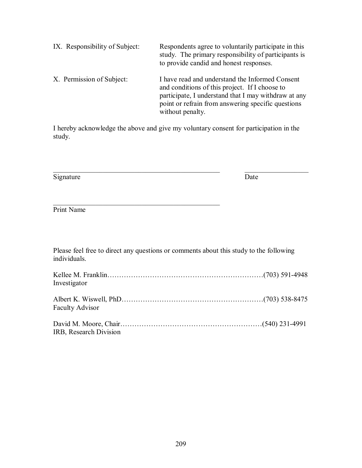| IX. Responsibility of Subject: | Respondents agree to voluntarily participate in this<br>study. The primary responsibility of participants is<br>to provide candid and honest responses.                                                                             |
|--------------------------------|-------------------------------------------------------------------------------------------------------------------------------------------------------------------------------------------------------------------------------------|
| X. Permission of Subject:      | I have read and understand the Informed Consent<br>and conditions of this project. If I choose to<br>participate, I understand that I may withdraw at any<br>point or refrain from answering specific questions<br>without penalty. |

I hereby acknowledge the above and give my voluntary consent for participation in the study.

 $\mathcal{L}_\text{max}$  , and the contribution of the contribution of the contribution of the contribution of the contribution of the contribution of the contribution of the contribution of the contribution of the contribution of t

Signature Date

Print Name

Please feel free to direct any questions or comments about this study to the following individuals.

 $\mathcal{L}_\text{max}$  and the contract of the contract of the contract of the contract of the contract of the contract of the contract of the contract of the contract of the contract of the contract of the contract of the contrac

| Investigator           |  |
|------------------------|--|
| <b>Faculty Advisor</b> |  |
| IRB, Research Division |  |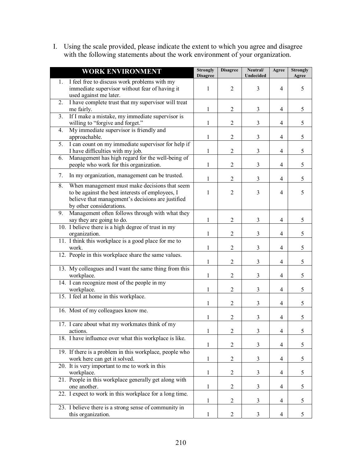I. Using the scale provided, please indicate the extent to which you agree and disagree with the following statements about the work environment of your organization.

| <b>WORK ENVIRONMENT</b>                                                                                                                                                                  | <b>Strongly</b><br><b>Disagree</b> | <b>Disagree</b> | Neutral/<br>Undecided | Agree                    | <b>Strongly</b><br>Agree |
|------------------------------------------------------------------------------------------------------------------------------------------------------------------------------------------|------------------------------------|-----------------|-----------------------|--------------------------|--------------------------|
| 1. I feel free to discuss work problems with my<br>immediate supervisor without fear of having it<br>used against me later.                                                              | 1                                  | $\overline{2}$  | 3                     | 4                        | 5                        |
| I have complete trust that my supervisor will treat<br>2.<br>me fairly.                                                                                                                  | 1                                  | $\overline{2}$  | 3                     | $\overline{4}$           | 5                        |
| If I make a mistake, my immediate supervisor is<br>3.<br>willing to "forgive and forget."                                                                                                | 1                                  | $\overline{2}$  | 3                     | 4                        | 5                        |
| My immediate supervisor is friendly and<br>4.<br>approachable.                                                                                                                           | $\mathbf{1}$                       | $\overline{c}$  | 3                     | $\overline{4}$           | 5                        |
| I can count on my immediate supervisor for help if<br>5.<br>I have difficulties with my job.                                                                                             | 1                                  | $\overline{2}$  | $\mathfrak{Z}$        | $\overline{4}$           | 5                        |
| Management has high regard for the well-being of<br>6.<br>people who work for this organization.                                                                                         | 1                                  | $\overline{2}$  | $\mathfrak{Z}$        | $\overline{4}$           | 5                        |
| 7.<br>In my organization, management can be trusted.                                                                                                                                     | 1                                  | 2               | 3                     | 4                        | 5                        |
| When management must make decisions that seem<br>8.<br>to be against the best interests of employees, I<br>believe that management's decisions are justified<br>by other considerations. | 1                                  | $\overline{2}$  | 3                     | 4                        | 5                        |
| Management often follows through with what they<br>9.<br>say they are going to do.                                                                                                       | 1                                  | $\mathfrak{2}$  | 3                     | 4                        | 5                        |
| 10. I believe there is a high degree of trust in my<br>organization.                                                                                                                     | 1                                  | $\overline{c}$  | 3                     | 4                        | 5                        |
| 11. I think this workplace is a good place for me to<br>work.                                                                                                                            | 1                                  | $\overline{c}$  | 3                     | 4                        | 5                        |
| 12. People in this workplace share the same values.                                                                                                                                      | 1                                  | $\overline{c}$  | 3                     | 4                        | 5                        |
| 13. My colleagues and I want the same thing from this<br>workplace.                                                                                                                      | 1                                  | $\overline{2}$  | 3                     | $\overline{4}$           | 5                        |
| 14. I can recognize most of the people in my<br>workplace.                                                                                                                               | 1                                  | $\overline{c}$  | 3                     | $\overline{4}$           | 5                        |
| 15. I feel at home in this workplace.                                                                                                                                                    | 1                                  | $\overline{c}$  | 3                     | $\overline{4}$           | 5                        |
| 16. Most of my colleagues know me.                                                                                                                                                       | 1                                  | $\overline{c}$  | 3                     | $\overline{4}$           | 5                        |
| 17. I care about what my workmates think of my<br>actions.                                                                                                                               | 1                                  | 2               | 3                     | $\overline{\mathcal{A}}$ | 5                        |
| 18. I have influence over what this workplace is like.                                                                                                                                   | $\mathbf{1}$                       | $\overline{c}$  | 3                     | 4                        | 5                        |
| 19. If there is a problem in this workplace, people who<br>work here can get it solved.                                                                                                  | $\mathbf{1}$                       | $\mathfrak{2}$  | 3                     | 4                        | 5                        |
| 20. It is very important to me to work in this<br>workplace.                                                                                                                             | $\mathbf{1}$                       | $\overline{c}$  | 3                     | 4                        | 5                        |
| 21. People in this workplace generally get along with<br>one another.                                                                                                                    | $\mathbf{1}$                       | $\overline{2}$  | 3                     | 4                        | 5                        |
| 22. I expect to work in this workplace for a long time.                                                                                                                                  | 1                                  | $\overline{c}$  | 3                     | 4                        | 5                        |
| 23. I believe there is a strong sense of community in<br>this organization.                                                                                                              | 1                                  | 2               | 3                     | 4                        | 5                        |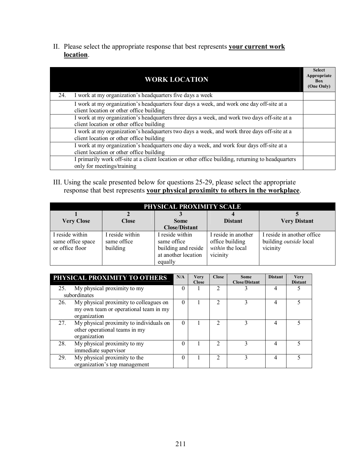II. Please select the appropriate response that best represents **your current work location**.

|     | <b>WORK LOCATION</b>                                                                                                                    | <b>Select</b><br>Appropriate<br><b>Box</b><br>(One Only) |
|-----|-----------------------------------------------------------------------------------------------------------------------------------------|----------------------------------------------------------|
| 24. | I work at my organization's headquarters five days a week                                                                               |                                                          |
|     | I work at my organization's headquarters four days a week, and work one day off-site at a<br>client location or other office building   |                                                          |
|     | I work at my organization's headquarters three days a week, and work two days off-site at a<br>client location or other office building |                                                          |
|     | I work at my organization's headquarters two days a week, and work three days off-site at a<br>client location or other office building |                                                          |
|     | I work at my organization's headquarters one day a week, and work four days off-site at a<br>client location or other office building   |                                                          |
|     | I primarily work off-site at a client location or other office building, returning to headquarters<br>only for meetings/training        |                                                          |

III. Using the scale presented below for questions 25-29, please select the appropriate response that best represents **your physical proximity to others in the workplace**.

| PHYSICAL PROXIMITY SCALE                                |                                            |                                                                                         |                                                                        |                                                                          |  |  |  |  |
|---------------------------------------------------------|--------------------------------------------|-----------------------------------------------------------------------------------------|------------------------------------------------------------------------|--------------------------------------------------------------------------|--|--|--|--|
| <b>Very Close</b>                                       | <b>Close</b><br><b>Some</b>                |                                                                                         | <b>Distant</b>                                                         | <b>Very Distant</b>                                                      |  |  |  |  |
|                                                         |                                            | <b>Close/Distant</b>                                                                    |                                                                        |                                                                          |  |  |  |  |
| I reside within<br>same office space<br>or office floor | I reside within<br>same office<br>building | I reside within<br>same office<br>building and reside<br>at another location<br>equally | I reside in another<br>office building<br>within the local<br>vicinity | I reside in another office.<br>building <i>outside</i> local<br>vicinity |  |  |  |  |

|     | PHYSICAL PROXIMITY TO OTHERS                                                                    | N/A      | <b>Very</b><br><b>Close</b> | <b>Close</b>                | <b>Some</b><br><b>Close/Distant</b> | <b>Distant</b> | <b>Very</b><br><b>Distant</b> |
|-----|-------------------------------------------------------------------------------------------------|----------|-----------------------------|-----------------------------|-------------------------------------|----------------|-------------------------------|
| 25. | My physical proximity to my<br>subordinates                                                     | 0        |                             |                             |                                     |                |                               |
| 26. | My physical proximity to colleagues on<br>my own team or operational team in my<br>organization | $\theta$ |                             | $\mathcal{D}_{\mathcal{A}}$ |                                     | 4              |                               |
| 27. | My physical proximity to individuals on<br>other operational teams in my<br>organization        | $\Omega$ |                             | 2                           | 3                                   | 4              |                               |
| 28. | My physical proximity to my<br>immediate supervisor                                             | $\theta$ |                             | っ                           | 3                                   | 4              |                               |
| 29. | My physical proximity to the<br>organization's top management                                   | 0        |                             | ↑                           |                                     | 4              |                               |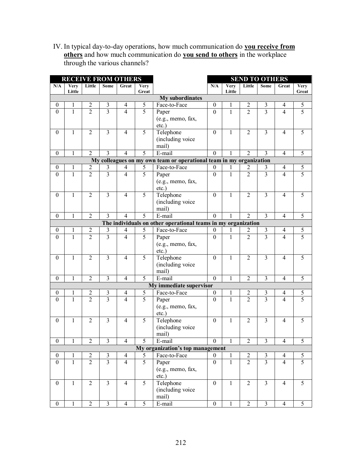IV. In typical day-to-day operations, how much communication do **you receive from others** and how much communication do **you send to others** in the workplace through the various channels?

| <b>RECEIVE FROM OTHERS</b> |                       |                |                         |                          | <b>SEND TO OTHERS</b> |                                                                     |                  |                       |                |                         |                |                      |
|----------------------------|-----------------------|----------------|-------------------------|--------------------------|-----------------------|---------------------------------------------------------------------|------------------|-----------------------|----------------|-------------------------|----------------|----------------------|
| N/A                        | <b>Very</b><br>Little | Little         | Some                    | Great                    | <b>Very</b><br>Great  |                                                                     | N/A              | <b>Very</b><br>Little | Little         | Some                    | Great          | <b>Very</b><br>Great |
|                            |                       |                |                         |                          |                       | <b>My subordinates</b>                                              |                  |                       |                |                         |                |                      |
| $\boldsymbol{0}$           | 1                     | $\overline{2}$ | $\mathfrak{Z}$          | $\overline{4}$           | 5                     | Face-to-Face                                                        | $\boldsymbol{0}$ | 1                     | 2              | $\mathfrak{Z}$          | 4              | 5                    |
| $\mathbf{0}$               | $\mathbf{1}$          | $\overline{2}$ | $\overline{3}$          | $\overline{4}$           | $\overline{5}$        | Paper                                                               | $\overline{0}$   | $\mathbf{1}$          | $\overline{2}$ | $\overline{3}$          | $\overline{4}$ | $\overline{5}$       |
|                            | (e.g., memo, fax,     |                |                         |                          |                       |                                                                     |                  |                       |                |                         |                |                      |
|                            |                       |                |                         |                          |                       | $etc.$ )                                                            |                  |                       |                |                         |                |                      |
| $\mathbf{0}$               | 1                     | 2              | 3                       | $\overline{4}$           | 5                     | Telephone                                                           | $\boldsymbol{0}$ | 1                     | $\overline{2}$ | 3                       | 4              | 5                    |
|                            |                       |                |                         |                          |                       | (including voice                                                    |                  |                       |                |                         |                |                      |
|                            |                       |                |                         |                          |                       | mail)                                                               |                  |                       |                |                         |                |                      |
| $\boldsymbol{0}$           | 1                     | $\overline{2}$ | 3                       | $\overline{4}$           | 5                     | E-mail                                                              | $\boldsymbol{0}$ | 1                     | $\overline{2}$ | 3                       | $\overline{4}$ | 5                    |
|                            |                       |                |                         |                          |                       | My colleagues on my own team or operational team in my organization |                  |                       |                |                         |                |                      |
| $\theta$                   | 1                     | 2              | 3                       | 4                        | 5                     | Face-to-Face                                                        | $\boldsymbol{0}$ |                       | 2              | 3                       | $\overline{4}$ | 5                    |
| $\theta$                   | 1                     | $\overline{2}$ | $\overline{3}$          | $\overline{4}$           | 5                     | Paper                                                               | $\mathbf{0}$     | 1                     | $\overline{2}$ | 3                       | $\overline{4}$ | $\overline{5}$       |
|                            |                       |                |                         |                          |                       | (e.g., memo, fax,                                                   |                  |                       |                |                         |                |                      |
|                            |                       |                |                         |                          |                       | etc.)                                                               |                  |                       |                |                         |                |                      |
| $\mathbf{0}$               | $\mathbf{1}$          | $\overline{2}$ | 3                       | $\overline{4}$           | 5                     | Telephone                                                           | $\mathbf{0}$     | $\mathbf{1}$          | $\overline{2}$ | $\overline{\mathbf{3}}$ | 4              | 5                    |
|                            |                       |                |                         |                          |                       | (including voice                                                    |                  |                       |                |                         |                |                      |
|                            |                       |                |                         |                          |                       | mail)                                                               |                  |                       |                |                         |                |                      |
| $\mathbf{0}$               | 1                     | $\overline{2}$ | $\overline{3}$          | $\overline{\mathcal{L}}$ | 5                     | E-mail                                                              | $\Omega$         |                       | $\mathfrak{D}$ | $\overline{3}$          | $\overline{4}$ | 5                    |
|                            |                       |                |                         |                          |                       | The individuals on other operational teams in my organization       |                  |                       |                |                         |                |                      |
| $\bf{0}$                   | 1                     | $\overline{2}$ | 3                       | 4                        | 5                     | Face-to-Face                                                        | $\theta$         | I.                    | 2              | 3                       | 4              | 5                    |
| $\mathbf{0}$               | $\mathbf{1}$          | $\overline{2}$ | $\overline{3}$          | $\overline{4}$           | $\overline{5}$        | Paper                                                               | $\overline{0}$   | $\mathbf{1}$          | $\overline{2}$ | $\overline{3}$          | $\overline{4}$ | $\overline{5}$       |
|                            |                       |                |                         |                          |                       | (e.g., memo, fax,                                                   |                  |                       |                |                         |                |                      |
|                            |                       |                |                         |                          |                       | $etc.$ )                                                            |                  |                       |                |                         |                |                      |
| $\boldsymbol{0}$           | $\mathbf{1}$          | $\overline{2}$ | $\overline{\mathbf{3}}$ | $\overline{4}$           | 5                     | Telephone                                                           | $\overline{0}$   | $\mathbf{1}$          | $\overline{2}$ | $\overline{\mathbf{3}}$ | $\overline{4}$ | 5                    |
|                            |                       |                |                         |                          |                       | (including voice                                                    |                  |                       |                |                         |                |                      |
|                            |                       |                |                         |                          |                       | mail)                                                               |                  |                       |                |                         |                |                      |
| $\boldsymbol{0}$           | $\mathbf{1}$          | $\overline{2}$ | $\overline{\mathbf{3}}$ | $\overline{4}$           | 5                     | E-mail                                                              | $\overline{0}$   | $\mathbf{1}$          | $\overline{2}$ | $\overline{\mathbf{3}}$ | $\overline{4}$ | 5                    |
|                            |                       |                |                         |                          |                       | My immediate supervisor                                             |                  |                       |                |                         |                |                      |
| $\boldsymbol{0}$           | 1                     | $\overline{2}$ | $\mathfrak{Z}$          | $\overline{4}$           | 5                     | Face-to-Face                                                        | $\boldsymbol{0}$ | 1                     | $\overline{2}$ | $\mathfrak{Z}$          | 4              | 5                    |
| $\mathbf{0}$               | $\mathbf{1}$          | $\overline{2}$ | $\overline{3}$          | $\overline{4}$           | $\overline{5}$        | Paper                                                               | $\overline{0}$   | $\mathbf{1}$          | $\overline{2}$ | $\overline{3}$          | $\overline{4}$ | $\overline{5}$       |
|                            |                       |                |                         |                          |                       | (e.g., memo, fax,                                                   |                  |                       |                |                         |                |                      |
|                            |                       |                |                         |                          |                       | $etc.$ )                                                            |                  |                       |                |                         |                |                      |
| $\bf{0}$                   | 1                     | 2              | 3                       | $\overline{4}$           | 5                     | Telephone                                                           | $\boldsymbol{0}$ | 1                     | $\overline{2}$ | 3                       | 4              | 5                    |
|                            |                       |                |                         |                          |                       | (including voice                                                    |                  |                       |                |                         |                |                      |
|                            |                       |                |                         |                          |                       | mail)                                                               |                  |                       |                |                         |                |                      |
| $\mathbf{0}$               | $\bf{l}$              | 2              | 3                       | 4                        | $\mathcal{L}$         | E-mail                                                              | 0                | $\mathbf{I}$          | 2              | 3                       | 4              | 5                    |
|                            |                       |                |                         |                          |                       | My organization's top management                                    |                  |                       |                |                         |                |                      |
| $\boldsymbol{0}$           | $\bf{l}$              | $\overline{c}$ | 3                       | $\overline{4}$           | 5                     | Face-to-Face                                                        | $\boldsymbol{0}$ | $\perp$               | 2              | 3                       | 4              | 5                    |
| $\boldsymbol{0}$           | 1                     | $\overline{2}$ | $\overline{3}$          | $\overline{4}$           | 5                     | Paper                                                               | $\overline{0}$   | 1                     | $\overline{2}$ | $\overline{\mathbf{3}}$ | $\overline{4}$ | $\overline{5}$       |
|                            |                       |                |                         |                          |                       | (e.g., memo, fax,                                                   |                  |                       |                |                         |                |                      |
|                            |                       |                |                         |                          |                       | $etc.$ )                                                            |                  |                       |                |                         |                |                      |
| $\boldsymbol{0}$           | $\mathbf{1}$          | $\overline{2}$ | $\overline{3}$          | $\overline{4}$           | 5                     | Telephone                                                           | $\mathbf{0}$     | $\mathbf{1}$          | $\overline{2}$ | $\overline{\mathbf{3}}$ | $\overline{4}$ | 5                    |
|                            |                       |                |                         |                          |                       | (including voice                                                    |                  |                       |                |                         |                |                      |
|                            |                       |                |                         |                          |                       | mail)                                                               |                  |                       |                |                         |                |                      |
| $\mathbf{0}$               | 1                     | $\overline{2}$ | $\overline{\mathbf{3}}$ | $\overline{4}$           | 5                     | E-mail                                                              | $\overline{0}$   | 1                     | $\overline{2}$ | $\overline{\mathbf{3}}$ | $\overline{4}$ | 5                    |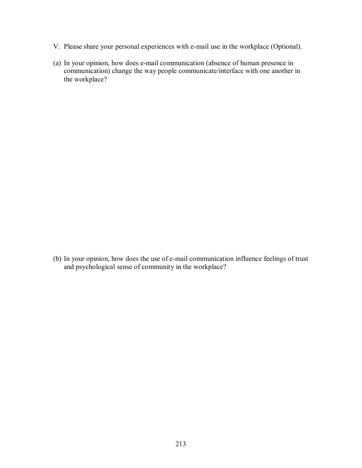- V. Please share your personal experiences with e-mail use in the workplace (Optional).
- (a) In your opinion, how does e-mail communication (absence of human presence in communication) change the way people communicate/interface with one another in the workplace?

(b) In your opinion, how does the use of e-mail communication influence feelings of trust and psychological sense of community in the workplace?